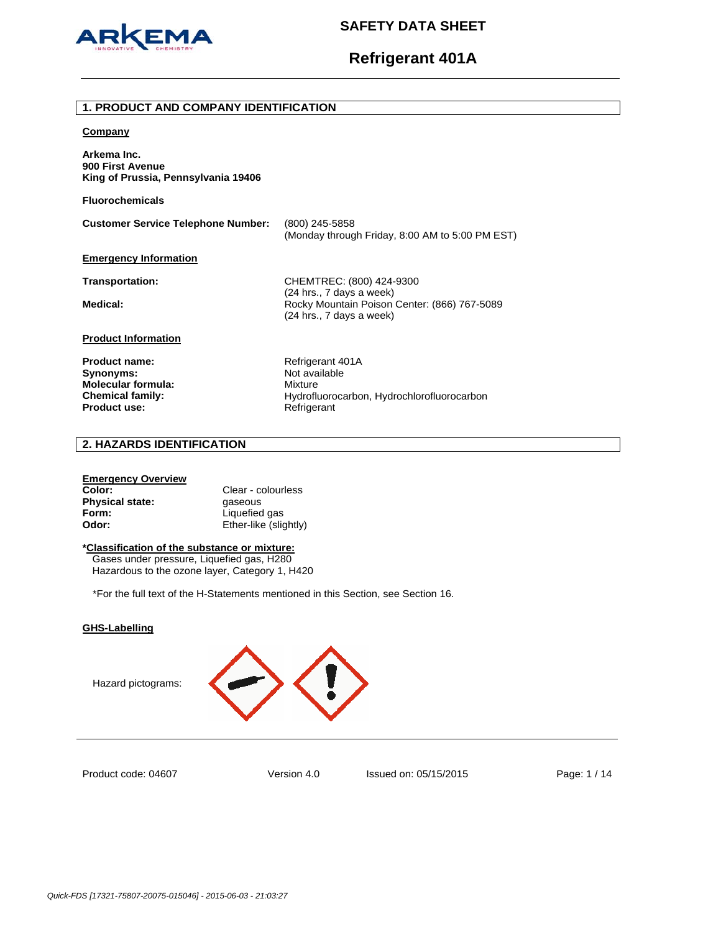

#### **1. PRODUCT AND COMPANY IDENTIFICATION**

#### **Company**

**Arkema Inc. 900 First Avenue King of Prussia, Pennsylvania 19406** 

**Fluorochemicals**

**Customer Service Telephone Number:** (800) 245-5858 (Monday through Friday, 8:00 AM to 5:00 PM EST) **Emergency Information Transportation:** CHEMTREC: (800) 424-9300 (24 hrs., 7 days a week)

(24 hrs., 7 days a week)

Medical: **Medical: Rocky Mountain Poison Center: (866) 767-5089** 

**Product Information**

Product name: Refrigerant 401A **Synonyms:** Not available **Molecular formula:** Mixture Product use: **Product use:** Refrigerant

Chemical family: **Chemical family:** Hydrofluorocarbon, Hydrochlorofluorocarbon

## **2. HAZARDS IDENTIFICATION**

#### **Emergency Overview**

| Color:                 | Clear - colourless    |
|------------------------|-----------------------|
| <b>Physical state:</b> | gaseous               |
| Form:                  | Liquefied gas         |
| Odor:                  | Ether-like (slightly) |

#### **\*Classification of the substance or mixture:**

Gases under pressure, Liquefied gas, H280 Hazardous to the ozone layer, Category 1, H420

\*For the full text of the H-Statements mentioned in this Section, see Section 16.

## **GHS-Labelling**

Hazard pictograms:



Product code: 04607

Version 4.0 Issued on: 05/15/2015 Page: 1 / 14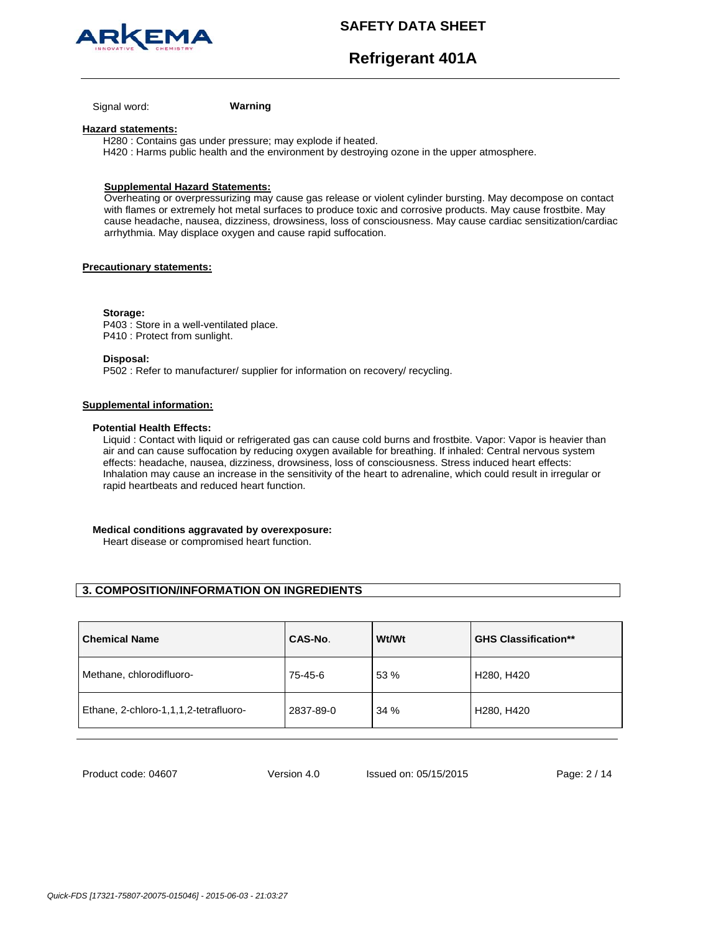



Signal word: **Warning**

#### **Hazard statements:**

H280 : Contains gas under pressure; may explode if heated. H420 : Harms public health and the environment by destroying ozone in the upper atmosphere.

### **Supplemental Hazard Statements:**

Overheating or overpressurizing may cause gas release or violent cylinder bursting. May decompose on contact with flames or extremely hot metal surfaces to produce toxic and corrosive products. May cause frostbite. May cause headache, nausea, dizziness, drowsiness, loss of consciousness. May cause cardiac sensitization/cardiac arrhythmia. May displace oxygen and cause rapid suffocation.

#### **Precautionary statements:**

**Storage:** 

P403 : Store in a well-ventilated place. P410 : Protect from sunlight.

**Disposal:** 

P502 : Refer to manufacturer/ supplier for information on recovery/ recycling.

#### **Supplemental information:**

#### **Potential Health Effects:**

Liquid : Contact with liquid or refrigerated gas can cause cold burns and frostbite. Vapor: Vapor is heavier than air and can cause suffocation by reducing oxygen available for breathing. If inhaled: Central nervous system effects: headache, nausea, dizziness, drowsiness, loss of consciousness. Stress induced heart effects: Inhalation may cause an increase in the sensitivity of the heart to adrenaline, which could result in irregular or rapid heartbeats and reduced heart function.

#### **Medical conditions aggravated by overexposure:**

Heart disease or compromised heart function.

## **3. COMPOSITION/INFORMATION ON INGREDIENTS**

| <b>Chemical Name</b>                  | CAS-No.   | Wt/Wt | <b>GHS Classification**</b>         |
|---------------------------------------|-----------|-------|-------------------------------------|
| Methane, chlorodifluoro-              | 75-45-6   | 53 %  | H <sub>280</sub> , H <sub>420</sub> |
| Ethane, 2-chloro-1,1,1,2-tetrafluoro- | 2837-89-0 | 34 %  | H <sub>280</sub> , H <sub>420</sub> |

Product code: 04607

Version 4.0 Issued on: 05/15/2015 Page: 2 / 14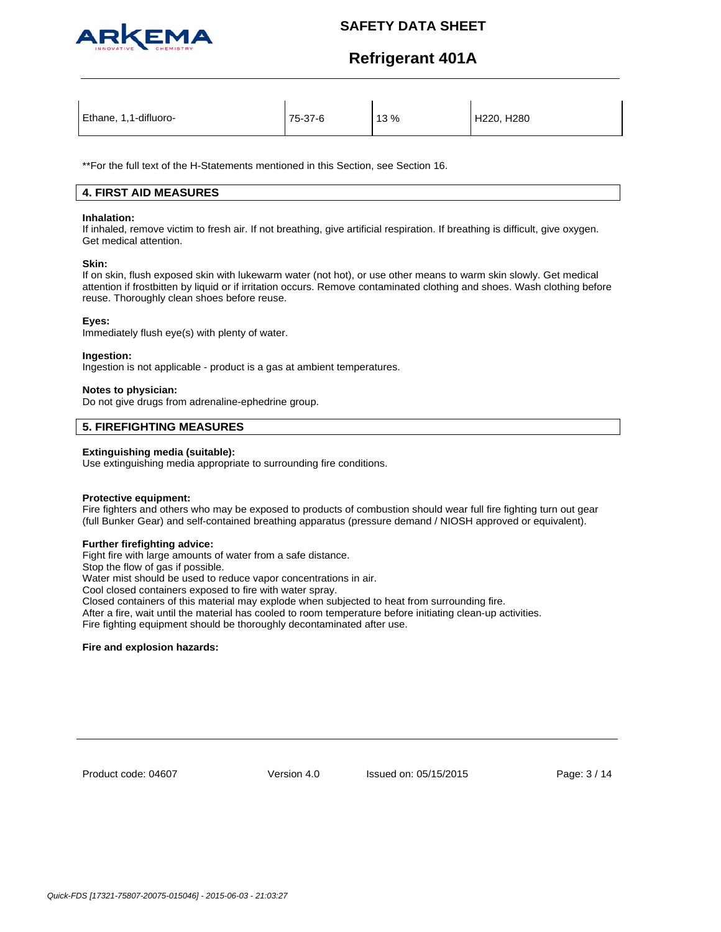

# **Refrigerant 401A**

\*\*For the full text of the H-Statements mentioned in this Section, see Section 16.

## **4. FIRST AID MEASURES**

#### **Inhalation:**

If inhaled, remove victim to fresh air. If not breathing, give artificial respiration. If breathing is difficult, give oxygen. Get medical attention.

#### **Skin:**

If on skin, flush exposed skin with lukewarm water (not hot), or use other means to warm skin slowly. Get medical attention if frostbitten by liquid or if irritation occurs. Remove contaminated clothing and shoes. Wash clothing before reuse. Thoroughly clean shoes before reuse.

#### **Eyes:**

Immediately flush eye(s) with plenty of water.

#### **Ingestion:**

Ingestion is not applicable - product is a gas at ambient temperatures.

#### **Notes to physician:**

Do not give drugs from adrenaline-ephedrine group.

## **5. FIREFIGHTING MEASURES**

#### **Extinguishing media (suitable):**

Use extinguishing media appropriate to surrounding fire conditions.

## **Protective equipment:**

Fire fighters and others who may be exposed to products of combustion should wear full fire fighting turn out gear (full Bunker Gear) and self-contained breathing apparatus (pressure demand / NIOSH approved or equivalent).

#### **Further firefighting advice:**

Fight fire with large amounts of water from a safe distance.

Stop the flow of gas if possible.

Water mist should be used to reduce vapor concentrations in air.

Cool closed containers exposed to fire with water spray.

Closed containers of this material may explode when subjected to heat from surrounding fire.

After a fire, wait until the material has cooled to room temperature before initiating clean-up activities.

Fire fighting equipment should be thoroughly decontaminated after use.

#### **Fire and explosion hazards:**

Product code: 04607

Version 4.0 Issued on: 05/15/2015 Page: 3 / 14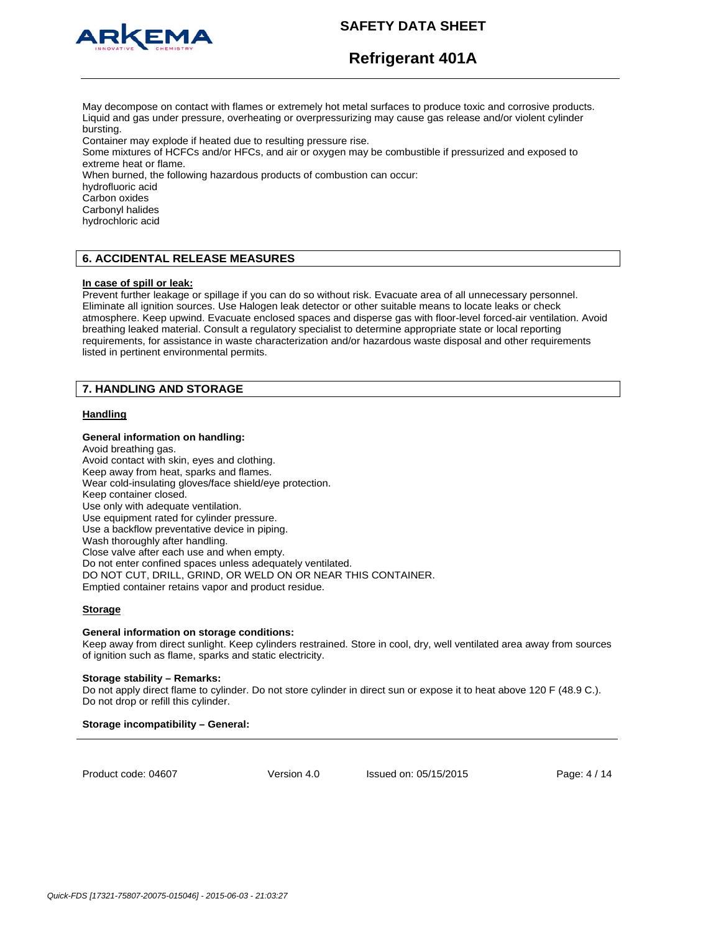

# **Refrigerant 401A**

May decompose on contact with flames or extremely hot metal surfaces to produce toxic and corrosive products. Liquid and gas under pressure, overheating or overpressurizing may cause gas release and/or violent cylinder bursting.

Container may explode if heated due to resulting pressure rise.

Some mixtures of HCFCs and/or HFCs, and air or oxygen may be combustible if pressurized and exposed to extreme heat or flame.

When burned, the following hazardous products of combustion can occur:

hydrofluoric acid

Carbon oxides

Carbonyl halides

hydrochloric acid

## **6. ACCIDENTAL RELEASE MEASURES**

#### **In case of spill or leak:**

Prevent further leakage or spillage if you can do so without risk. Evacuate area of all unnecessary personnel. Eliminate all ignition sources. Use Halogen leak detector or other suitable means to locate leaks or check atmosphere. Keep upwind. Evacuate enclosed spaces and disperse gas with floor-level forced-air ventilation. Avoid breathing leaked material. Consult a regulatory specialist to determine appropriate state or local reporting requirements, for assistance in waste characterization and/or hazardous waste disposal and other requirements listed in pertinent environmental permits.

## **7. HANDLING AND STORAGE**

## **Handling**

#### **General information on handling:**

Avoid breathing gas. Avoid contact with skin, eyes and clothing. Keep away from heat, sparks and flames. Wear cold-insulating gloves/face shield/eye protection. Keep container closed. Use only with adequate ventilation. Use equipment rated for cylinder pressure. Use a backflow preventative device in piping. Wash thoroughly after handling. Close valve after each use and when empty. Do not enter confined spaces unless adequately ventilated. DO NOT CUT, DRILL, GRIND, OR WELD ON OR NEAR THIS CONTAINER. Emptied container retains vapor and product residue.

#### **Storage**

#### **General information on storage conditions:**

Keep away from direct sunlight. Keep cylinders restrained. Store in cool, dry, well ventilated area away from sources of ignition such as flame, sparks and static electricity.

#### **Storage stability – Remarks:**

Do not apply direct flame to cylinder. Do not store cylinder in direct sun or expose it to heat above 120 F (48.9 C.). Do not drop or refill this cylinder.

## **Storage incompatibility – General:**

Product code: 04607

Version 4.0 Issued on: 05/15/2015 Page: 4 / 14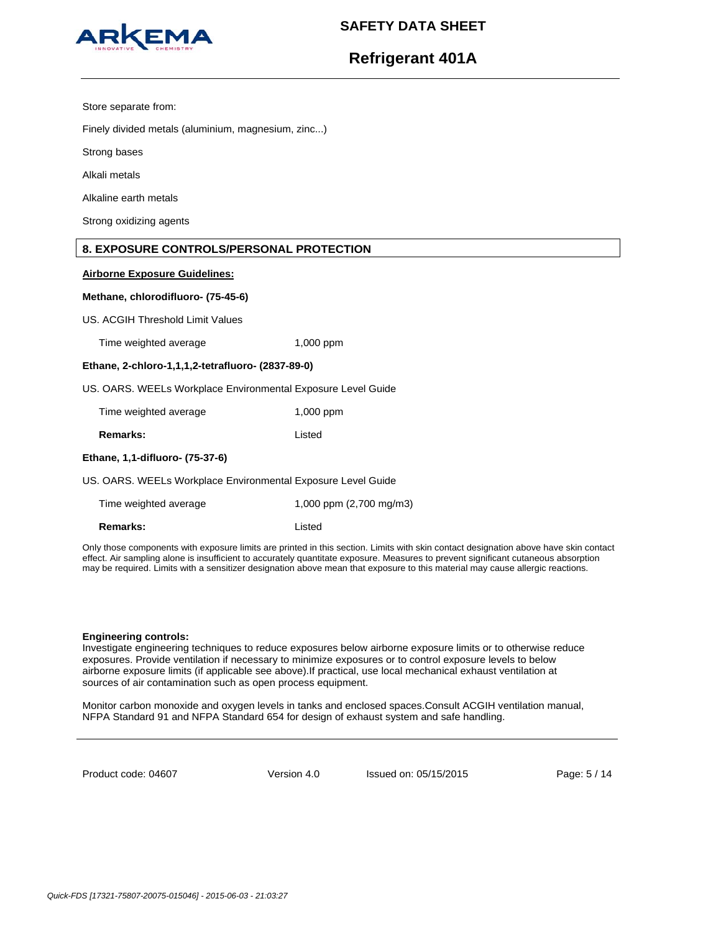

# **Refrigerant 401A**

Store separate from:

Finely divided metals (aluminium, magnesium, zinc...)

Strong bases

Alkali metals

Alkaline earth metals

Strong oxidizing agents

## **8. EXPOSURE CONTROLS/PERSONAL PROTECTION**

#### **Airborne Exposure Guidelines:**

#### **Methane, chlorodifluoro- (75-45-6)**

US. ACGIH Threshold Limit Values

Time weighted average 1,000 ppm

#### **Ethane, 2-chloro-1,1,1,2-tetrafluoro- (2837-89-0)**

US. OARS. WEELs Workplace Environmental Exposure Level Guide

| Time weighted average | $1,000$ ppm |
|-----------------------|-------------|
|                       |             |

**Remarks:** Listed

## **Ethane, 1,1-difluoro- (75-37-6)**

US. OARS. WEELs Workplace Environmental Exposure Level Guide

| Time weighted average | 1,000 ppm (2,700 mg/m3) |
|-----------------------|-------------------------|
|-----------------------|-------------------------|

**Remarks:** Listed

Only those components with exposure limits are printed in this section. Limits with skin contact designation above have skin contact effect. Air sampling alone is insufficient to accurately quantitate exposure. Measures to prevent significant cutaneous absorption may be required. Limits with a sensitizer designation above mean that exposure to this material may cause allergic reactions.

#### **Engineering controls:**

Investigate engineering techniques to reduce exposures below airborne exposure limits or to otherwise reduce exposures. Provide ventilation if necessary to minimize exposures or to control exposure levels to below airborne exposure limits (if applicable see above).If practical, use local mechanical exhaust ventilation at sources of air contamination such as open process equipment.

Monitor carbon monoxide and oxygen levels in tanks and enclosed spaces.Consult ACGIH ventilation manual, NFPA Standard 91 and NFPA Standard 654 for design of exhaust system and safe handling.

Product code: 04607

Version 4.0 Issued on: 05/15/2015 Page: 5 / 14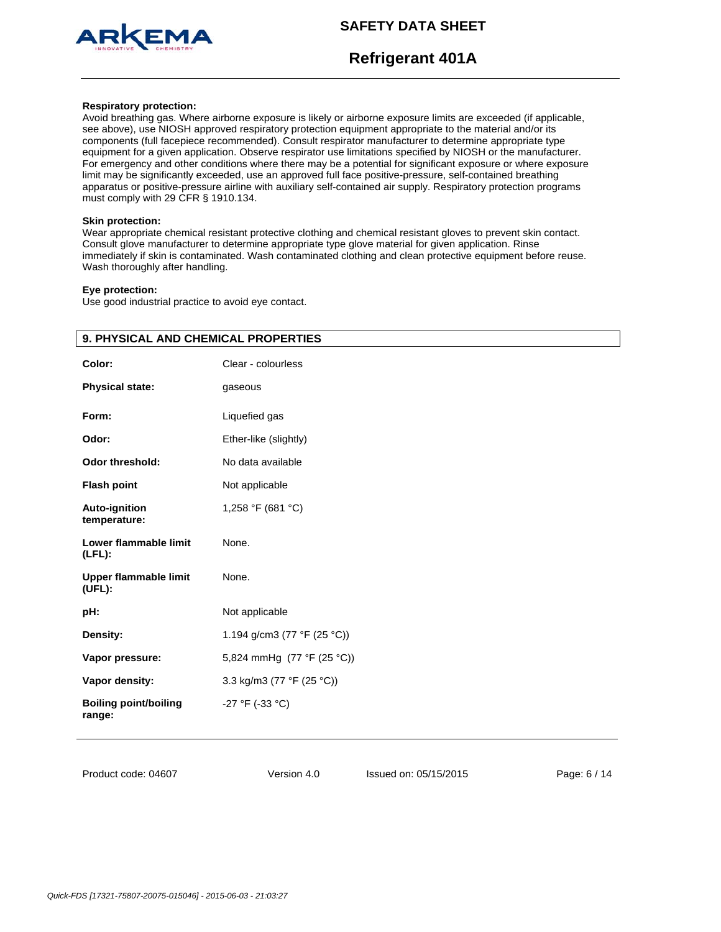

# **Refrigerant 401A**

#### **Respiratory protection:**

Avoid breathing gas. Where airborne exposure is likely or airborne exposure limits are exceeded (if applicable, see above), use NIOSH approved respiratory protection equipment appropriate to the material and/or its components (full facepiece recommended). Consult respirator manufacturer to determine appropriate type equipment for a given application. Observe respirator use limitations specified by NIOSH or the manufacturer. For emergency and other conditions where there may be a potential for significant exposure or where exposure limit may be significantly exceeded, use an approved full face positive-pressure, self-contained breathing apparatus or positive-pressure airline with auxiliary self-contained air supply. Respiratory protection programs must comply with 29 CFR § 1910.134.

#### **Skin protection:**

Wear appropriate chemical resistant protective clothing and chemical resistant gloves to prevent skin contact. Consult glove manufacturer to determine appropriate type glove material for given application. Rinse immediately if skin is contaminated. Wash contaminated clothing and clean protective equipment before reuse. Wash thoroughly after handling.

#### **Eye protection:**

Use good industrial practice to avoid eye contact.

| Color:                                 | Clear - colourless          |  |
|----------------------------------------|-----------------------------|--|
| <b>Physical state:</b>                 | gaseous                     |  |
| Form:                                  | Liquefied gas               |  |
| Odor:                                  | Ether-like (slightly)       |  |
| <b>Odor threshold:</b>                 | No data available           |  |
| <b>Flash point</b>                     | Not applicable              |  |
| Auto-ignition<br>temperature:          | 1,258 °F (681 °C)           |  |
| Lower flammable limit<br>$(LFL)$ :     | None.                       |  |
| <b>Upper flammable limit</b><br>(UEL): | None.                       |  |
| pH:                                    | Not applicable              |  |
| Density:                               | 1.194 g/cm3 (77 °F (25 °C)) |  |
| Vapor pressure:                        | 5,824 mmHg (77 °F (25 °C))  |  |
| Vapor density:                         | 3.3 kg/m3 (77 °F (25 °C))   |  |
| <b>Boiling point/boiling</b><br>range: | -27 °F (-33 °C)             |  |

## **9. PHYSICAL AND CHEMICAL PROPERTIES**

Product code: 04607

Version 4.0 Issued on: 05/15/2015 Page: 6 / 14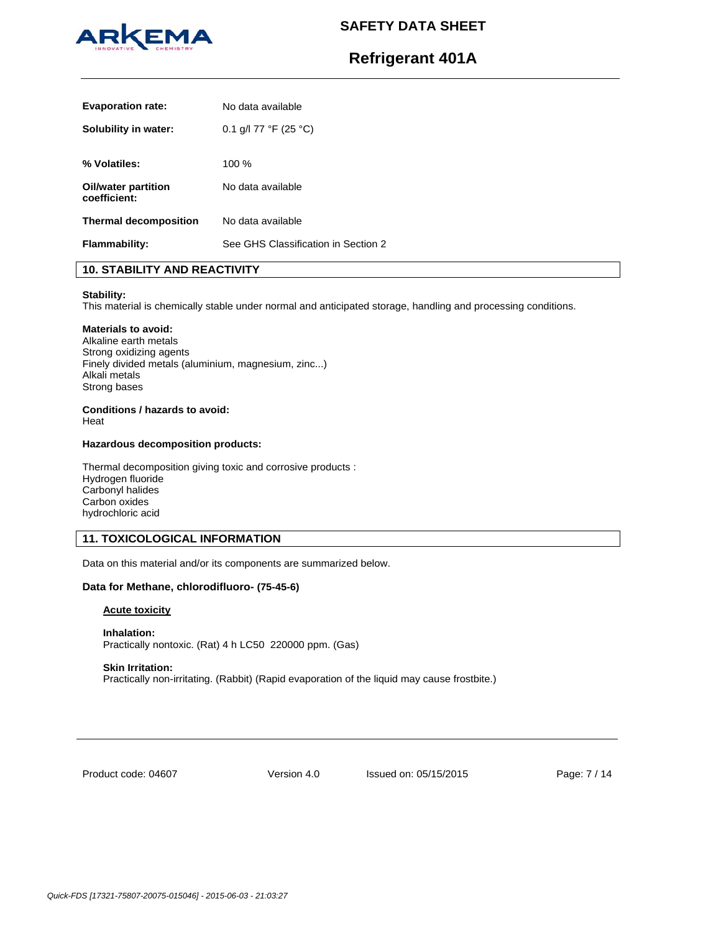

# **Refrigerant 401A**

| <b>Evaporation rate:</b>            | No data available                   |
|-------------------------------------|-------------------------------------|
| Solubility in water:                | 0.1 g/l 77 °F (25 °C)               |
| % Volatiles:                        | 100%                                |
| Oil/water partition<br>coefficient: | No data available                   |
| <b>Thermal decomposition</b>        | No data available                   |
| <b>Flammability:</b>                | See GHS Classification in Section 2 |

## **10. STABILITY AND REACTIVITY**

#### **Stability:**

This material is chemically stable under normal and anticipated storage, handling and processing conditions.

### **Materials to avoid:**

Alkaline earth metals Strong oxidizing agents Finely divided metals (aluminium, magnesium, zinc...) Alkali metals Strong bases

#### **Conditions / hazards to avoid:**  Heat

#### **Hazardous decomposition products:**

Thermal decomposition giving toxic and corrosive products : Hydrogen fluoride Carbonyl halides Carbon oxides hydrochloric acid

## **11. TOXICOLOGICAL INFORMATION**

Data on this material and/or its components are summarized below.

#### **Data for Methane, chlorodifluoro- (75-45-6)**

## **Acute toxicity**

**Inhalation:**  Practically nontoxic. (Rat) 4 h LC50 220000 ppm. (Gas)

#### **Skin Irritation:**

Practically non-irritating. (Rabbit) (Rapid evaporation of the liquid may cause frostbite.)

Product code: 04607

Version 4.0 Issued on: 05/15/2015 Page: 7 / 14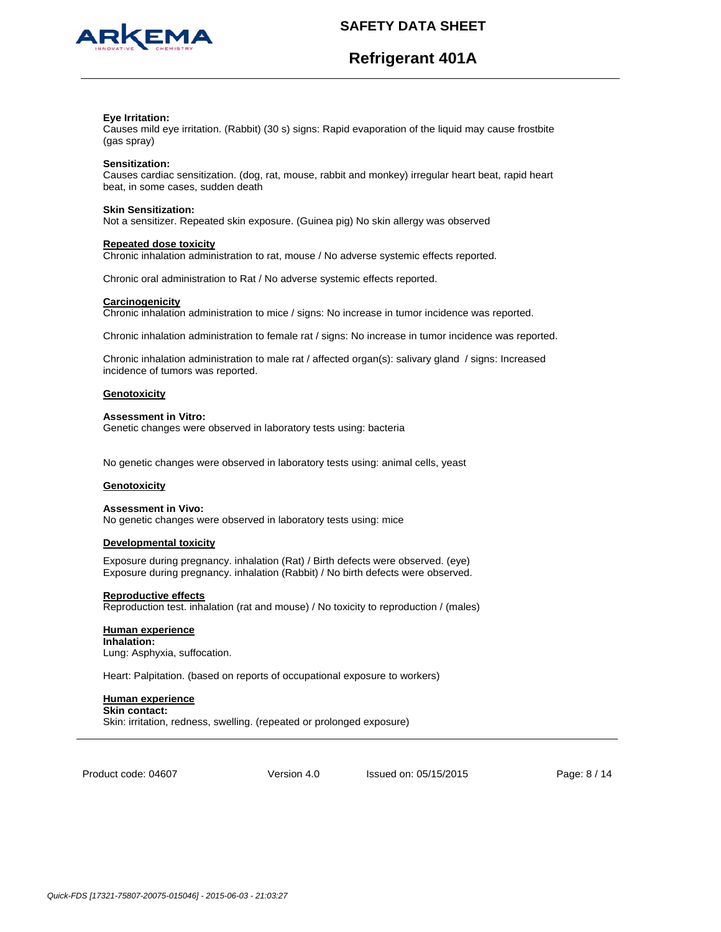



#### **Eye Irritation:**

Causes mild eye irritation. (Rabbit) (30 s) signs: Rapid evaporation of the liquid may cause frostbite (gas spray)

#### **Sensitization:**

Causes cardiac sensitization. (dog, rat, mouse, rabbit and monkey) irregular heart beat, rapid heart beat, in some cases, sudden death

#### **Skin Sensitization:**

Not a sensitizer. Repeated skin exposure. (Guinea pig) No skin allergy was observed

#### **Repeated dose toxicity**

Chronic inhalation administration to rat, mouse / No adverse systemic effects reported.

Chronic oral administration to Rat / No adverse systemic effects reported.

#### **Carcinogenicity**

Chronic inhalation administration to mice / signs: No increase in tumor incidence was reported.

Chronic inhalation administration to female rat / signs: No increase in tumor incidence was reported.

Chronic inhalation administration to male rat / affected organ(s): salivary gland / signs: Increased incidence of tumors was reported.

#### **Genotoxicity**

#### **Assessment in Vitro:**

Genetic changes were observed in laboratory tests using: bacteria

No genetic changes were observed in laboratory tests using: animal cells, yeast

## **Genotoxicity**

#### **Assessment in Vivo:**

No genetic changes were observed in laboratory tests using: mice

#### **Developmental toxicity**

Exposure during pregnancy. inhalation (Rat) / Birth defects were observed. (eye) Exposure during pregnancy. inhalation (Rabbit) / No birth defects were observed.

#### **Reproductive effects**

Reproduction test. inhalation (rat and mouse) / No toxicity to reproduction / (males)

#### **Human experience**

**Inhalation:** Lung: Asphyxia, suffocation.

Heart: Palpitation. (based on reports of occupational exposure to workers)

## **Human experience**

**Skin contact:** Skin: irritation, redness, swelling. (repeated or prolonged exposure)

Product code: 04607

Version 4.0 Issued on: 05/15/2015 Page: 8 / 14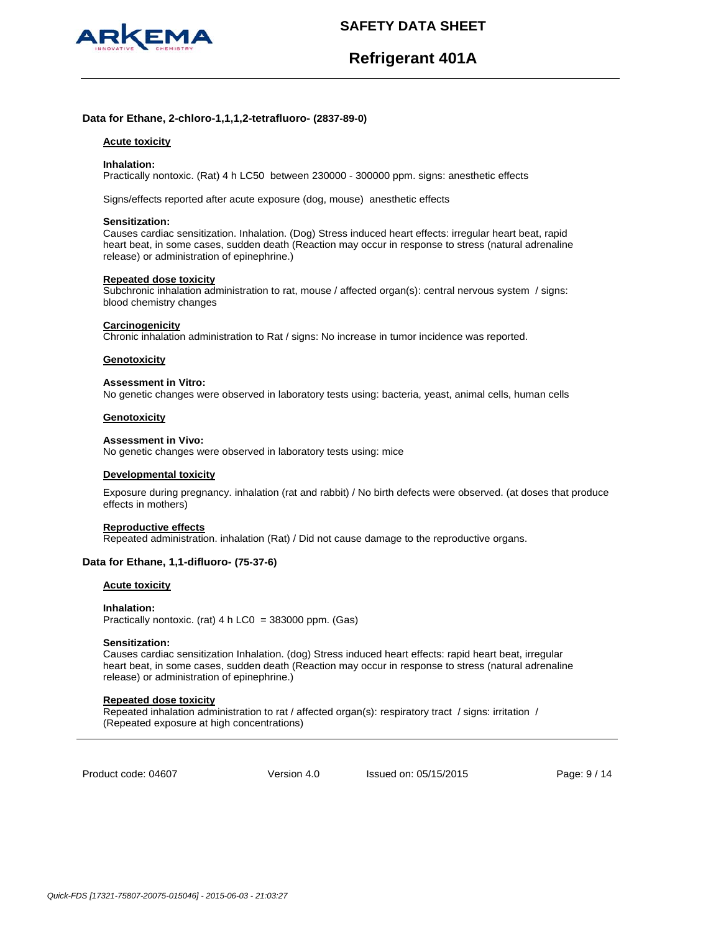

# **Refrigerant 401A**

## **Data for Ethane, 2-chloro-1,1,1,2-tetrafluoro- (2837-89-0)**

#### **Acute toxicity**

#### **Inhalation:**

Practically nontoxic. (Rat) 4 h LC50 between 230000 - 300000 ppm. signs: anesthetic effects

Signs/effects reported after acute exposure (dog, mouse) anesthetic effects

#### **Sensitization:**

Causes cardiac sensitization. Inhalation. (Dog) Stress induced heart effects: irregular heart beat, rapid heart beat, in some cases, sudden death (Reaction may occur in response to stress (natural adrenaline release) or administration of epinephrine.)

#### **Repeated dose toxicity**

Subchronic inhalation administration to rat, mouse / affected organ(s): central nervous system / signs: blood chemistry changes

#### **Carcinogenicity**

Chronic inhalation administration to Rat / signs: No increase in tumor incidence was reported.

#### **Genotoxicity**

#### **Assessment in Vitro:**

No genetic changes were observed in laboratory tests using: bacteria, yeast, animal cells, human cells

#### **Genotoxicity**

#### **Assessment in Vivo:**

No genetic changes were observed in laboratory tests using: mice

#### **Developmental toxicity**

Exposure during pregnancy. inhalation (rat and rabbit) / No birth defects were observed. (at doses that produce effects in mothers)

#### **Reproductive effects**

Repeated administration. inhalation (Rat) / Did not cause damage to the reproductive organs.

#### **Data for Ethane, 1,1-difluoro- (75-37-6)**

#### **Acute toxicity**

**Inhalation:**  Practically nontoxic. (rat) 4 h LC0 = 383000 ppm. (Gas)

#### **Sensitization:**

Causes cardiac sensitization Inhalation. (dog) Stress induced heart effects: rapid heart beat, irregular heart beat, in some cases, sudden death (Reaction may occur in response to stress (natural adrenaline release) or administration of epinephrine.)

#### **Repeated dose toxicity**

Repeated inhalation administration to rat / affected organ(s): respiratory tract / signs: irritation / (Repeated exposure at high concentrations)

Product code: 04607

Version 4.0 Issued on: 05/15/2015 Page: 9 / 14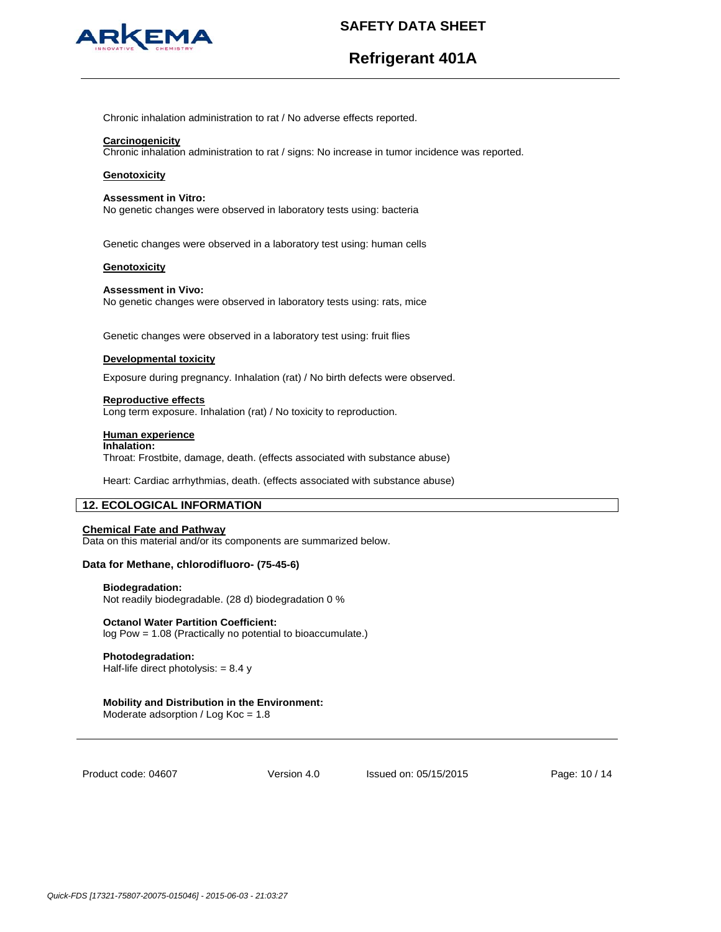

# **Refrigerant 401A**

Chronic inhalation administration to rat / No adverse effects reported.

#### **Carcinogenicity**

Chronic inhalation administration to rat / signs: No increase in tumor incidence was reported.

#### **Genotoxicity**

#### **Assessment in Vitro:**

No genetic changes were observed in laboratory tests using: bacteria

Genetic changes were observed in a laboratory test using: human cells

#### **Genotoxicity**

#### **Assessment in Vivo:** No genetic changes were observed in laboratory tests using: rats, mice

Genetic changes were observed in a laboratory test using: fruit flies

#### **Developmental toxicity**

Exposure during pregnancy. Inhalation (rat) / No birth defects were observed.

#### **Reproductive effects**

Long term exposure. Inhalation (rat) / No toxicity to reproduction.

#### **Human experience**

### **Inhalation:**

Throat: Frostbite, damage, death. (effects associated with substance abuse)

Heart: Cardiac arrhythmias, death. (effects associated with substance abuse)

## **12. ECOLOGICAL INFORMATION**

#### **Chemical Fate and Pathway**

Data on this material and/or its components are summarized below.

#### **Data for Methane, chlorodifluoro- (75-45-6)**

#### **Biodegradation:**

Not readily biodegradable. (28 d) biodegradation 0 %

## **Octanol Water Partition Coefficient:**

log Pow = 1.08 (Practically no potential to bioaccumulate.)

#### **Photodegradation:**

Half-life direct photolysis:  $= 8.4 y$ 

## **Mobility and Distribution in the Environment:**

Moderate adsorption / Log Koc = 1.8

Product code: 04607

Version 4.0 Issued on: 05/15/2015 Page: 10 / 14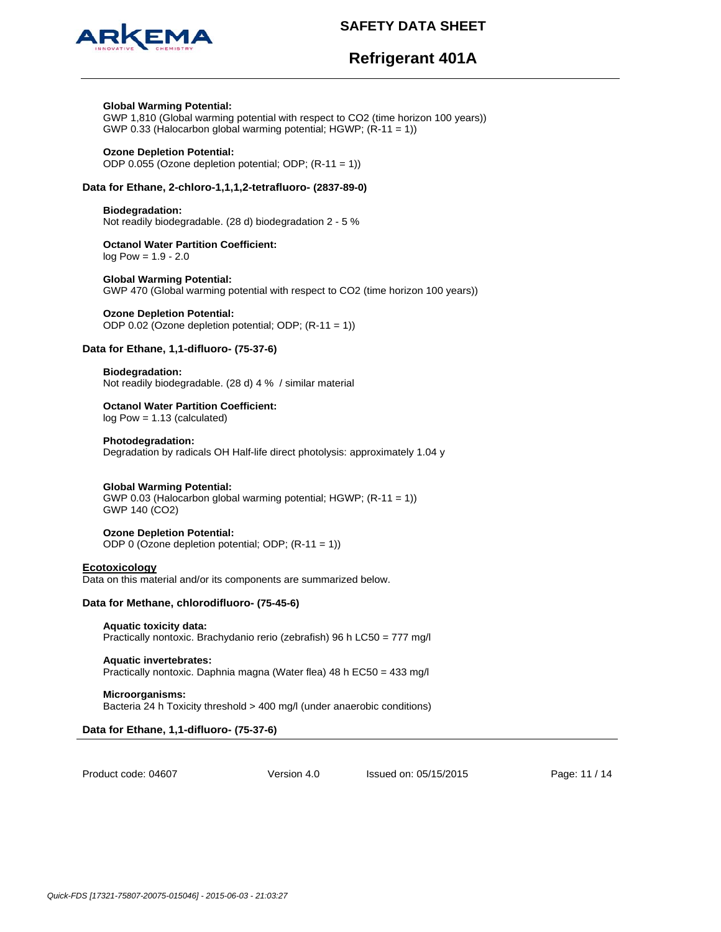

# **Refrigerant 401A**

#### **Global Warming Potential:**

GWP 1,810 (Global warming potential with respect to CO2 (time horizon 100 years)) GWP 0.33 (Halocarbon global warming potential; HGWP; (R-11 = 1))

#### **Ozone Depletion Potential:**

ODP 0.055 (Ozone depletion potential; ODP; (R-11 = 1))

## **Data for Ethane, 2-chloro-1,1,1,2-tetrafluoro- (2837-89-0)**

### **Biodegradation:**

Not readily biodegradable. (28 d) biodegradation 2 - 5 %

**Octanol Water Partition Coefficient:**  log Pow = 1.9 - 2.0

#### **Global Warming Potential:**  GWP 470 (Global warming potential with respect to CO2 (time horizon 100 years))

## **Ozone Depletion Potential:**

ODP 0.02 (Ozone depletion potential; ODP; (R-11 = 1))

## **Data for Ethane, 1,1-difluoro- (75-37-6)**

**Biodegradation:** Not readily biodegradable. (28 d) 4 % / similar material

# **Octanol Water Partition Coefficient:**

log Pow = 1.13 (calculated)

## **Photodegradation:**

Degradation by radicals OH Half-life direct photolysis: approximately 1.04 y

#### **Global Warming Potential:**

GWP 0.03 (Halocarbon global warming potential; HGWP; (R-11 = 1)) GWP 140 (CO2)

#### **Ozone Depletion Potential:**

ODP 0 (Ozone depletion potential; ODP; (R-11 = 1))

#### **Ecotoxicology**

Data on this material and/or its components are summarized below.

## **Data for Methane, chlorodifluoro- (75-45-6)**

- **Aquatic toxicity data:**  Practically nontoxic. Brachydanio rerio (zebrafish) 96 h LC50 = 777 mg/l
- **Aquatic invertebrates:**  Practically nontoxic. Daphnia magna (Water flea) 48 h EC50 = 433 mg/l

**Microorganisms:**  Bacteria 24 h Toxicity threshold > 400 mg/l (under anaerobic conditions)

## **Data for Ethane, 1,1-difluoro- (75-37-6)**

Product code: 04607

Version 4.0 Issued on: 05/15/2015 Page: 11 / 14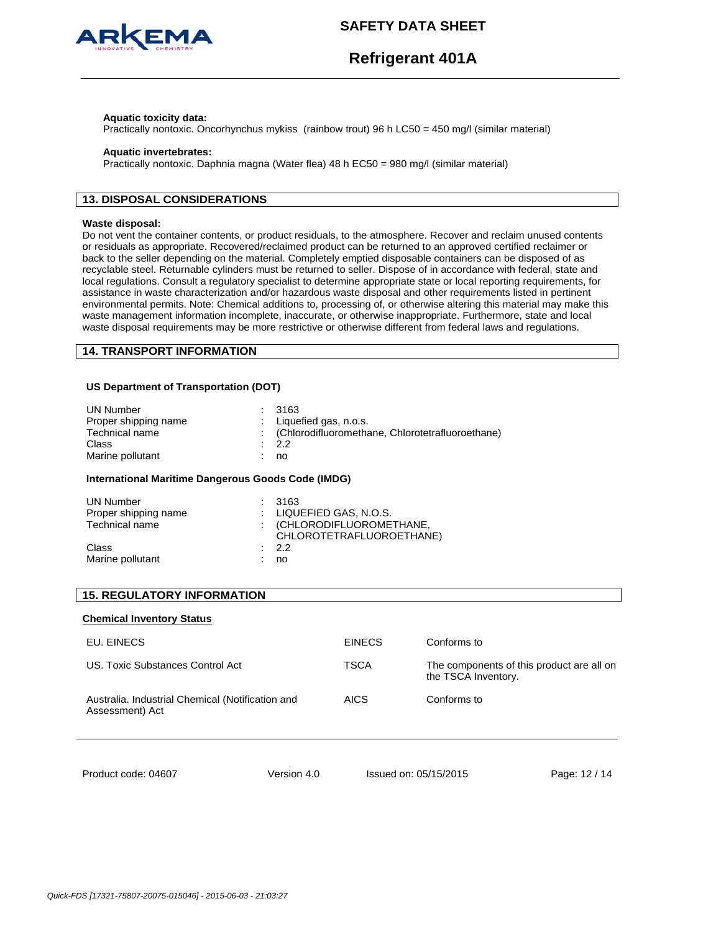

#### **Aquatic toxicity data:**

Practically nontoxic. Oncorhynchus mykiss (rainbow trout) 96 h LC50 = 450 mg/l (similar material)

#### **Aquatic invertebrates:**

Practically nontoxic. Daphnia magna (Water flea) 48 h EC50 = 980 mg/l (similar material)

## **13. DISPOSAL CONSIDERATIONS**

#### **Waste disposal:**

Do not vent the container contents, or product residuals, to the atmosphere. Recover and reclaim unused contents or residuals as appropriate. Recovered/reclaimed product can be returned to an approved certified reclaimer or back to the seller depending on the material. Completely emptied disposable containers can be disposed of as recyclable steel. Returnable cylinders must be returned to seller. Dispose of in accordance with federal, state and local regulations. Consult a regulatory specialist to determine appropriate state or local reporting requirements, for assistance in waste characterization and/or hazardous waste disposal and other requirements listed in pertinent environmental permits. Note: Chemical additions to, processing of, or otherwise altering this material may make this waste management information incomplete, inaccurate, or otherwise inappropriate. Furthermore, state and local waste disposal requirements may be more restrictive or otherwise different from federal laws and regulations.

## **14. TRANSPORT INFORMATION**

#### **US Department of Transportation (DOT)**

| UN Number            | : 3163                                             |
|----------------------|----------------------------------------------------|
| Proper shipping name | : Liquefied gas, $n.o.s.$                          |
| Technical name       | : (Chlorodifluoromethane, Chlorotetrafluoroethane) |
| Class                | $\therefore$ 2.2                                   |
| Marine pollutant     | no                                                 |

#### **International Maritime Dangerous Goods Code (IMDG)**

| UN Number<br>Proper shipping name<br>Technical name | : 3163<br>: LIQUEFIED GAS, N.O.S.<br>: (CHLORODIFLUOROMETHANE,<br>CHLOROTETRAFLUOROETHANE) |
|-----------------------------------------------------|--------------------------------------------------------------------------------------------|
| Class<br>Marine pollutant                           | $\therefore$ 2.2<br>no                                                                     |

## **15. REGULATORY INFORMATION**

#### **Chemical Inventory Status**

| <b>EINECS</b> | Conforms to                                                      |
|---------------|------------------------------------------------------------------|
| TSCA          | The components of this product are all on<br>the TSCA Inventory. |
| <b>AICS</b>   | Conforms to                                                      |
|               |                                                                  |

Product code: 04607

Version 4.0 Issued on: 05/15/2015 Page: 12 / 14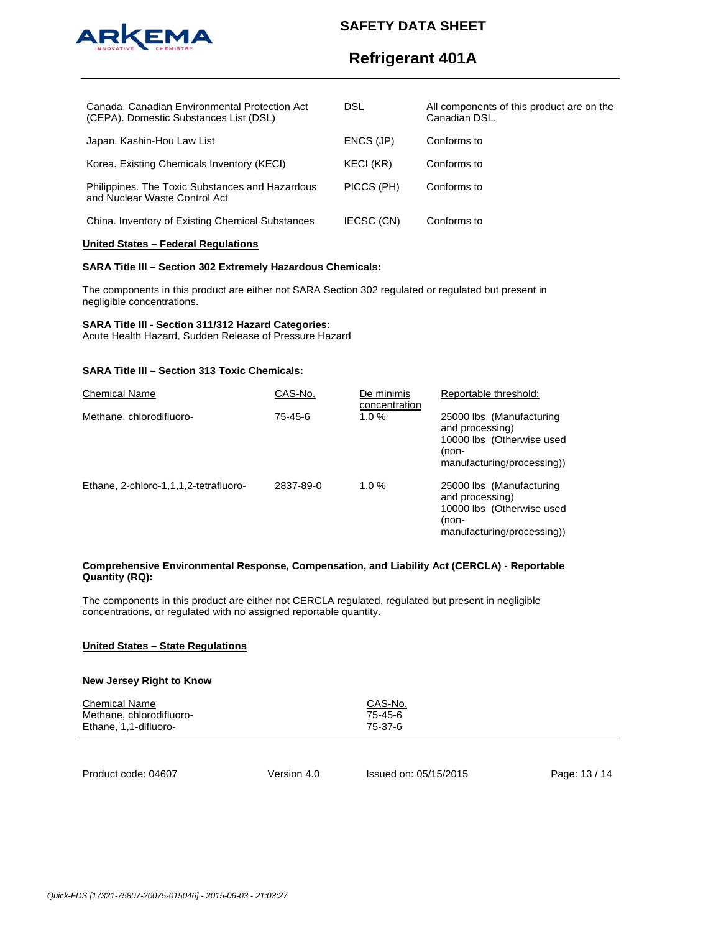

# **Refrigerant 401A**

| Canada, Canadian Environmental Protection Act<br>(CEPA). Domestic Substances List (DSL) | DSL        | All components of this product are on the<br>Canadian DSL. |
|-----------------------------------------------------------------------------------------|------------|------------------------------------------------------------|
| Japan. Kashin-Hou Law List                                                              | ENCS (JP)  | Conforms to                                                |
| Korea. Existing Chemicals Inventory (KECI)                                              | KECI (KR)  | Conforms to                                                |
| Philippines. The Toxic Substances and Hazardous<br>and Nuclear Waste Control Act        | PICCS (PH) | Conforms to                                                |
| China. Inventory of Existing Chemical Substances                                        | IECSC (CN) | Conforms to                                                |

#### **United States – Federal Regulations**

#### **SARA Title III – Section 302 Extremely Hazardous Chemicals:**

The components in this product are either not SARA Section 302 regulated or regulated but present in negligible concentrations.

## **SARA Title III - Section 311/312 Hazard Categories:**

Acute Health Hazard, Sudden Release of Pressure Hazard

## **SARA Title III – Section 313 Toxic Chemicals:**

| <b>Chemical Name</b>                  | CAS-No.   | De minimis<br>concentration | Reportable threshold:                                                                                           |
|---------------------------------------|-----------|-----------------------------|-----------------------------------------------------------------------------------------------------------------|
| Methane, chlorodifluoro-              | 75-45-6   | 1.0%                        | 25000 lbs (Manufacturing<br>and processing)<br>10000 lbs (Otherwise used<br>(non-<br>manufacturing/processing)  |
| Ethane, 2-chloro-1,1,1,2-tetrafluoro- | 2837-89-0 | 1.0 $%$                     | 25000 lbs (Manufacturing<br>and processing)<br>10000 lbs (Otherwise used<br>(non-<br>manufacturing/processing)) |

#### **Comprehensive Environmental Response, Compensation, and Liability Act (CERCLA) - Reportable Quantity (RQ):**

The components in this product are either not CERCLA regulated, regulated but present in negligible concentrations, or regulated with no assigned reportable quantity.

## **United States – State Regulations**

#### **New Jersey Right to Know**

| <b>Chemical Name</b><br>Methane, chlorodifluoro-<br>Ethane, 1,1-difluoro- |             | CAS-No.<br>75-45-6<br>75-37-6 |               |
|---------------------------------------------------------------------------|-------------|-------------------------------|---------------|
| Product code: 04607                                                       | Version 4.0 | Issued on: 05/15/2015         | Page: 13 / 14 |